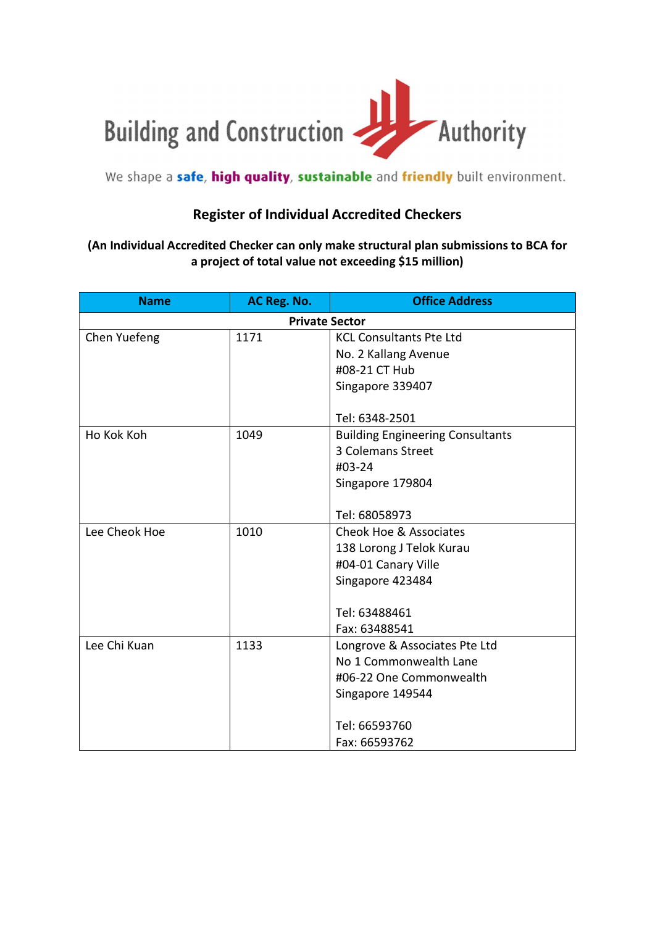

## We shape a safe, high quality, sustainable and friendly built environment.

## Register of Individual Accredited Checkers

## (An Individual Accredited Checker can only make structural plan submissions to BCA for a project of total value not exceeding \$15 million)

| <b>Name</b>           | AC Reg. No. | <b>Office Address</b>                   |  |
|-----------------------|-------------|-----------------------------------------|--|
| <b>Private Sector</b> |             |                                         |  |
| Chen Yuefeng          | 1171        | <b>KCL Consultants Pte Ltd</b>          |  |
|                       |             | No. 2 Kallang Avenue                    |  |
|                       |             | #08-21 CT Hub                           |  |
|                       |             | Singapore 339407                        |  |
|                       |             |                                         |  |
|                       |             | Tel: 6348-2501                          |  |
| Ho Kok Koh            | 1049        | <b>Building Engineering Consultants</b> |  |
|                       |             | 3 Colemans Street                       |  |
|                       |             | #03-24                                  |  |
|                       |             | Singapore 179804                        |  |
|                       |             |                                         |  |
|                       |             | Tel: 68058973                           |  |
| Lee Cheok Hoe         | 1010        | Cheok Hoe & Associates                  |  |
|                       |             | 138 Lorong J Telok Kurau                |  |
|                       |             | #04-01 Canary Ville                     |  |
|                       |             | Singapore 423484                        |  |
|                       |             |                                         |  |
|                       |             | Tel: 63488461                           |  |
|                       |             | Fax: 63488541                           |  |
| Lee Chi Kuan          | 1133        | Longrove & Associates Pte Ltd           |  |
|                       |             | No 1 Commonwealth Lane                  |  |
|                       |             | #06-22 One Commonwealth                 |  |
|                       |             | Singapore 149544                        |  |
|                       |             |                                         |  |
|                       |             | Tel: 66593760                           |  |
|                       |             | Fax: 66593762                           |  |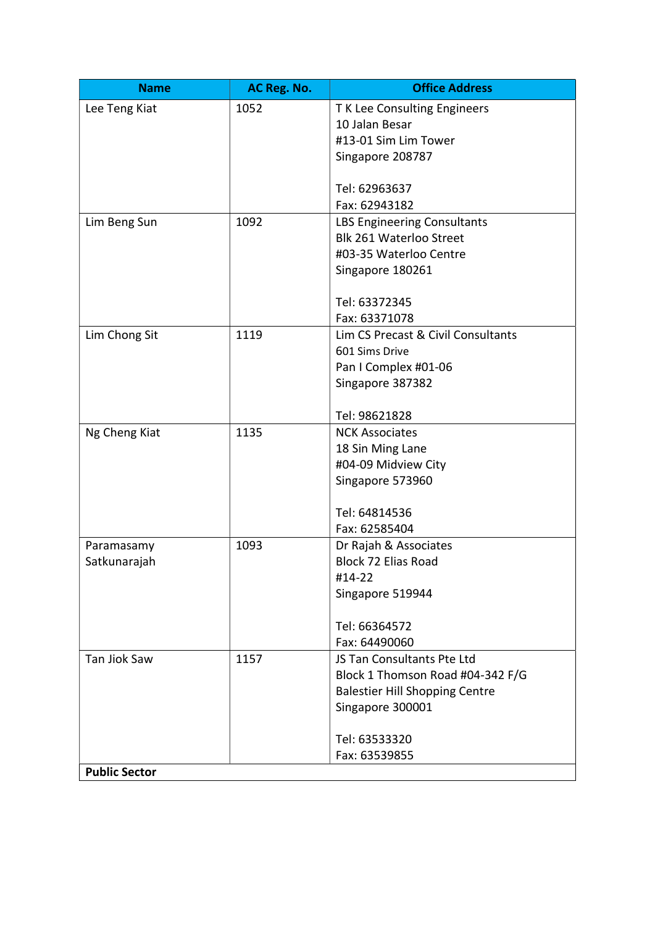| <b>Name</b>                | AC Reg. No. | <b>Office Address</b>                               |
|----------------------------|-------------|-----------------------------------------------------|
| Lee Teng Kiat              | 1052        | T K Lee Consulting Engineers                        |
|                            |             | 10 Jalan Besar                                      |
|                            |             | #13-01 Sim Lim Tower                                |
|                            |             | Singapore 208787                                    |
|                            |             |                                                     |
|                            |             | Tel: 62963637                                       |
|                            |             | Fax: 62943182                                       |
| Lim Beng Sun               | 1092        | LBS Engineering Consultants                         |
|                            |             | Blk 261 Waterloo Street                             |
|                            |             | #03-35 Waterloo Centre                              |
|                            |             | Singapore 180261                                    |
|                            |             | Tel: 63372345                                       |
|                            |             | Fax: 63371078                                       |
| Lim Chong Sit              | 1119        | Lim CS Precast & Civil Consultants                  |
|                            |             | 601 Sims Drive                                      |
|                            |             | Pan I Complex #01-06                                |
|                            |             | Singapore 387382                                    |
|                            |             |                                                     |
|                            |             | Tel: 98621828                                       |
| Ng Cheng Kiat              | 1135        | <b>NCK Associates</b>                               |
|                            |             | 18 Sin Ming Lane                                    |
|                            |             | #04-09 Midview City                                 |
|                            |             | Singapore 573960                                    |
|                            |             |                                                     |
|                            |             | Tel: 64814536                                       |
|                            |             | Fax: 62585404                                       |
| Paramasamy<br>Satkunarajah | 1093        | Dr Rajah & Associates<br><b>Block 72 Elias Road</b> |
|                            |             | #14-22                                              |
|                            |             | Singapore 519944                                    |
|                            |             |                                                     |
|                            |             | Tel: 66364572                                       |
|                            |             | Fax: 64490060                                       |
| Tan Jiok Saw               | 1157        | JS Tan Consultants Pte Ltd                          |
|                            |             | Block 1 Thomson Road #04-342 F/G                    |
|                            |             | <b>Balestier Hill Shopping Centre</b>               |
|                            |             | Singapore 300001                                    |
|                            |             |                                                     |
|                            |             | Tel: 63533320                                       |
|                            |             | Fax: 63539855                                       |
| <b>Public Sector</b>       |             |                                                     |